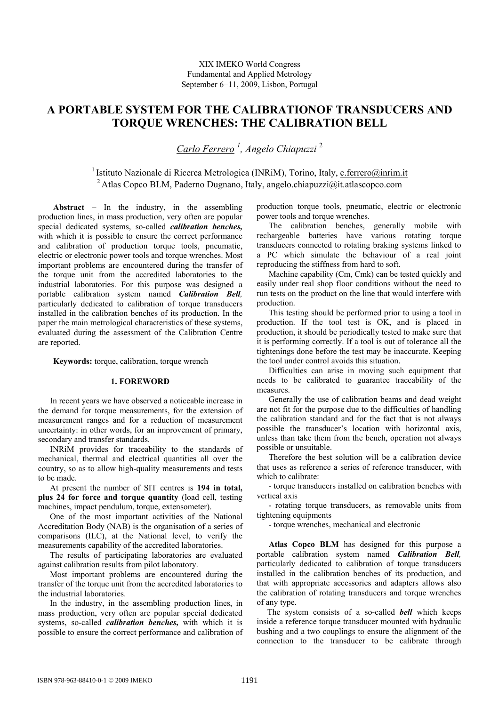# **A PORTABLE SYSTEM FOR THE CALIBRATIONOF TRANSDUCERS AND TORQUE WRENCHES: THE CALIBRATION BELL**

*Carlo Ferrero <sup>1</sup> , Angelo Chiapuzzi* <sup>2</sup>

<sup>1</sup> Istituto Nazionale di Ricerca Metrologica (INRiM), Torino, Italy, [c.ferrero@inrim.it](mailto:c.ferrero@inrim.it) <sup>2</sup> Atlas Copco BLM, Paderno Dugnano, Italy, [angelo.chiapuzzi@it.atlascopco.com](mailto:angelo.chiapuzzi@it.atlascopco.com)

**Abstract** − In the industry, in the assembling production lines, in mass production, very often are popular special dedicated systems, so-called *calibration benches,* with which it is possible to ensure the correct performance and calibration of production torque tools, pneumatic, electric or electronic power tools and torque wrenches. Most important problems are encountered during the transfer of the torque unit from the accredited laboratories to the industrial laboratories. For this purpose was designed a portable calibration system named *Calibration Bell,*  particularly dedicated to calibration of torque transducers installed in the calibration benches of its production. In the paper the main metrological characteristics of these systems, evaluated during the assessment of the Calibration Centre are reported.

**Keywords:** torque, calibration, torque wrench

#### **1. FOREWORD**

In recent years we have observed a noticeable increase in the demand for torque measurements, for the extension of measurement ranges and for a reduction of measurement uncertainty: in other words, for an improvement of primary, secondary and transfer standards.

INRiM provides for traceability to the standards of mechanical, thermal and electrical quantities all over the country, so as to allow high-quality measurements and tests to be made.

At present the number of SIT centres is **194 in total, plus 24 for force and torque quantity** (load cell, testing machines, impact pendulum, torque, extensometer).

One of the most important activities of the National Accreditation Body (NAB) is the organisation of a series of comparisons (ILC), at the National level, to verify the measurements capability of the accredited laboratories.

The results of participating laboratories are evaluated against calibration results from pilot laboratory.

Most important problems are encountered during the transfer of the torque unit from the accredited laboratories to the industrial laboratories.

In the industry, in the assembling production lines, in mass production, very often are popular special dedicated systems, so-called *calibration benches,* with which it is possible to ensure the correct performance and calibration of production torque tools, pneumatic, electric or electronic power tools and torque wrenches.

The calibration benches, generally mobile with rechargeable batteries have various rotating torque transducers connected to rotating braking systems linked to a PC which simulate the behaviour of a real joint reproducing the stiffness from hard to soft.

Machine capability (Cm, Cmk) can be tested quickly and easily under real shop floor conditions without the need to run tests on the product on the line that would interfere with production.

This testing should be performed prior to using a tool in production. If the tool test is OK, and is placed in production, it should be periodically tested to make sure that it is performing correctly. If a tool is out of tolerance all the tightenings done before the test may be inaccurate. Keeping the tool under control avoids this situation.

Difficulties can arise in moving such equipment that needs to be calibrated to guarantee traceability of the measures.

Generally the use of calibration beams and dead weight are not fit for the purpose due to the difficulties of handling the calibration standard and for the fact that is not always possible the transducer's location with horizontal axis, unless than take them from the bench, operation not always possible or unsuitable.

Therefore the best solution will be a calibration device that uses as reference a series of reference transducer, with which to calibrate:

- torque transducers installed on calibration benches with vertical axis

- rotating torque transducers, as removable units from tightening equipments

- torque wrenches, mechanical and electronic

**Atlas Copco BLM** has designed for this purpose a portable calibration system named *Calibration Bell,*  particularly dedicated to calibration of torque transducers installed in the calibration benches of its production, and that with appropriate accessories and adapters allows also the calibration of rotating transducers and torque wrenches of any type.

 The system consists of a so-called *bell* which keeps inside a reference torque transducer mounted with hydraulic bushing and a two couplings to ensure the alignment of the connection to the transducer to be calibrate through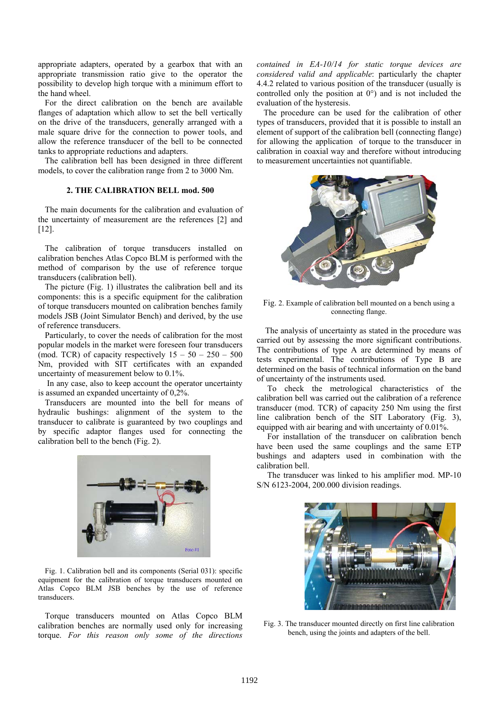appropriate adapters, operated by a gearbox that with an appropriate transmission ratio give to the operator the possibility to develop high torque with a minimum effort to the hand wheel.

For the direct calibration on the bench are available flanges of adaptation which allow to set the bell vertically on the drive of the transducers, generally arranged with a male square drive for the connection to power tools, and allow the reference transducer of the bell to be connected tanks to appropriate reductions and adapters.

The calibration bell has been designed in three different models, to cover the calibration range from 2 to 3000 Nm.

## **2. THE CALIBRATION BELL mod. 500**

The main documents for the calibration and evaluation of the uncertainty of measurement are the references [2] and [12].

The calibration of torque transducers installed on calibration benches Atlas Copco BLM is performed with the method of comparison by the use of reference torque transducers (calibration bell).

The picture (Fig. 1) illustrates the calibration bell and its components: this is a specific equipment for the calibration of torque transducers mounted on calibration benches family models JSB (Joint Simulator Bench) and derived, by the use of reference transducers.

Particularly, to cover the needs of calibration for the most popular models in the market were foreseen four transducers (mod. TCR) of capacity respectively  $15 - 50 - 250 - 500$ Nm, provided with SIT certificates with an expanded uncertainty of measurement below to 0.1%.

In any case, also to keep account the operator uncertainty is assumed an expanded uncertainty of 0,2%.

Transducers are mounted into the bell for means of hydraulic bushings: alignment of the system to the transducer to calibrate is guaranteed by two couplings and by specific adaptor flanges used for connecting the calibration bell to the bench (Fig. 2).



Fig. 1. Calibration bell and its components (Serial 031): specific equipment for the calibration of torque transducers mounted on Atlas Copco BLM JSB benches by the use of reference transducers.

Torque transducers mounted on Atlas Copco BLM calibration benches are normally used only for increasing torque. *For this reason only some of the directions* *contained in EA-10/14 for static torque devices are considered valid and applicable*: particularly the chapter 4.4.2 related to various position of the transducer (usually is controlled only the position at 0°) and is not included the evaluation of the hysteresis.

The procedure can be used for the calibration of other types of transducers, provided that it is possible to install an element of support of the calibration bell (connecting flange) for allowing the application of torque to the transducer in calibration in coaxial way and therefore without introducing to measurement uncertainties not quantifiable.



Fig. 2. Example of calibration bell mounted on a bench using a connecting flange.

 The analysis of uncertainty as stated in the procedure was carried out by assessing the more significant contributions. The contributions of type A are determined by means of tests experimental. The contributions of Type B are determined on the basis of technical information on the band of uncertainty of the instruments used.

To check the metrological characteristics of the calibration bell was carried out the calibration of a reference transducer (mod. TCR) of capacity 250 Nm using the first line calibration bench of the SIT Laboratory (Fig. 3), equipped with air bearing and with uncertainty of 0.01%.

For installation of the transducer on calibration bench have been used the same couplings and the same ETP bushings and adapters used in combination with the calibration bell.

The transducer was linked to his amplifier mod. MP-10 S/N 6123-2004, 200.000 division readings.



Fig. 3. The transducer mounted directly on first line calibration bench, using the joints and adapters of the bell.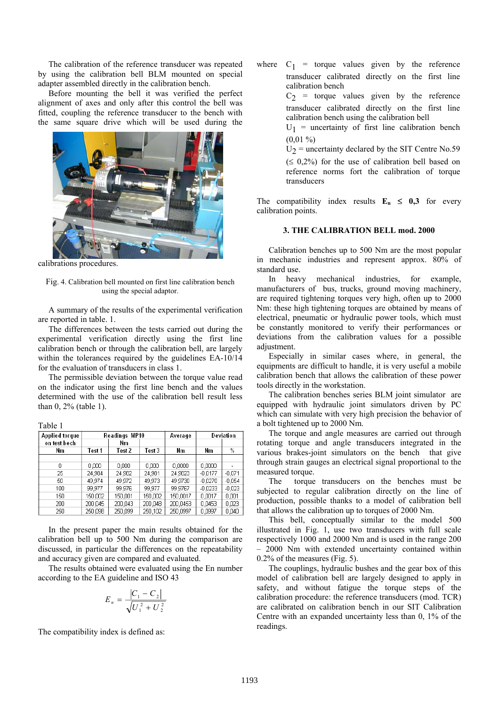The calibration of the reference transducer was repeated by using the calibration bell BLM mounted on special adapter assembled directly in the calibration bench.

Before mounting the bell it was verified the perfect alignment of axes and only after this control the bell was fitted, coupling the reference transducer to the bench with the same square drive which will be used during the



calibrations procedures.

Fig. 4. Calibration bell mounted on first line calibration bench using the special adaptor.

A summary of the results of the experimental verification are reported in table. 1.

The differences between the tests carried out during the experimental verification directly using the first line calibration bench or through the calibration bell, are largely within the tolerances required by the guidelines EA-10/14 for the evaluation of transducers in class 1.

The permissible deviation between the torque value read on the indicator using the first line bench and the values determined with the use of the calibration bell result less than 0, 2% (table 1).

Table 1

| <b>Applied torque</b> | Readings MP10 |         |         | Average  | Deviation |          |
|-----------------------|---------------|---------|---------|----------|-----------|----------|
| on test bech          |               | Nm      |         |          |           |          |
| Nm                    | Test 1        | Test 2  | Test 3  | Nm       | Nm        | $\%$     |
|                       |               |         |         |          |           |          |
| Ο                     | 0.000         | 0.000   | 0.000   | 0,0000   | 0,0000    |          |
| 25                    | 24.984        | 24,982  | 24,981  | 24,9823  | $-0.0177$ | $-0.071$ |
| 50                    | 49.974        | 49.972  | 49.973  | 49,9730  | $-0.0270$ | $-0.054$ |
| 100                   | 99,977        | 99.976  | 99.977  | 99.9767  | $-0.0233$ | $-0.023$ |
| 150                   | 150,002       | 150,001 | 150,002 | 150,0017 | 0.0017    | 0.001    |
| 200                   | 200.045       | 200.043 | 200.048 | 200.0453 | 0.0453    | 0.023    |
| 250                   | 250.098       | 250,099 | 250,102 | 250,0997 | 0,0997    | 0,040    |

In the present paper the main results obtained for the calibration bell up to 500 Nm during the comparison are discussed, in particular the differences on the repeatability and accuracy given are compared and evaluated.

The results obtained were evaluated using the En number according to the EA guideline and ISO 43

$$
E_n = \frac{|C_1 - C_2|}{\sqrt{U_1^2 + U_2^2}}
$$

The compatibility index is defined as:

 $C_1$  = torque values given by the reference where transducer calibrated directly on the first line calibration bench

> $C_2$  = torque values given by the reference transducer calibrated directly on the first line calibration bench using the calibration bell

> $U_1$  = uncertainty of first line calibration bench  $(0.01\% )$

> $U_2$  = uncertainty declared by the SIT Centre No.59  $( \leq 0.2\%)$  for the use of calibration bell based on reference norms fort the calibration of torque transducers

The compatibility index results  $E_n \leq 0,3$  for every calibration points.

#### **3. THE CALIBRATION BELL mod. 2000**

Calibration benches up to 500 Nm are the most popular in mechanic industries and represent approx. 80% of standard use.

In heavy mechanical industries, for example, ma nufacturers of bus, trucks, ground moving machinery, are required tightening torques very high, often up to 2000 Nm: these high tightening torques are obtained by means of electrical, pneumatic or hydraulic power tools, which must be constantly monitored to verify their performances or deviations from the calibration values for a possible adjustment.

Especially in similar cases where, in general, the equ ipments are difficult to handle, it is very useful a mobile calibration bench that allows the calibration of these power tools directly in the workstation.

The calibration benches series BLM joint simulator are equ ipped with hydraulic joint simulators driven by PC which can simulate with very high precision the behavior of a bolt tightened up to 2000 Nm.

The torque and angle measures are carried out through rot ating torque and angle transducers integrated in the various brakes-joint simulators on the bench that give through strain gauges an electrical signal proportional to the measured torque.

The torque transducers on the benches must be sub jected to regular calibration directly on the line of production, possible thanks to a model of calibration bell that allows the calibration up to torques of 2000 Nm.

This bell, conceptually similar to the model 500 illu strated in Fig. 1, use two transducers with full scale respectively 1000 and 2000 Nm and is used in the range 200 – 2000 Nm with extended uncertainty contained within 0.2% of the measures (Fig. 5).

The couplings, hydraulic bushes and the gear box of this mo del of calibration bell are largely designed to apply in safety, and without fatigue the torque steps of the calibration procedure: the reference transducers (mod. TCR) are calibrated on calibration bench in our SIT Calibration Centre with an expanded uncertainty less than 0, 1% of the readings.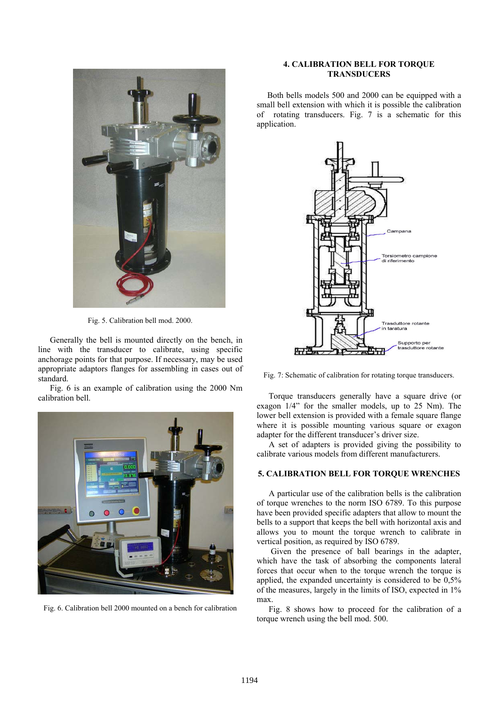

Fig. 5. Calibration bell mod. 2000.

Generally the bell is mounted directly on the bench, in line with the transducer to calibrate, using specific anchorage points for that purpose. If necessary, may be used appropriate adaptors flanges for assembling in cases out of standard.

Fig. 6 is an example of calibration using the 2000 Nm cal ibration bell.



## **4. CALIBRATION BELL FOR TORQUE TRANSDUCERS**

Both bells models 500 and 2000 can be equipped with a small bell extension with which it is possible the calibration of rotating transducers. Fig. 7 is a schematic for this application.



Fig. 7: Schematic of calibration for rotating torque transducers.

Torque transducers generally have a square drive (or exagon 1/4" for the smaller models, up to 25 Nm). The lower bell extension is provided with a female square flange where it is possible mounting various square or exagon adapter for the different transducer's driver size.

A set of adapters is provided giving the possibility to calibrate various models from different manufacturers.

## **5. CALIBRATION BELL FOR TORQUE WRENCHES**

A particular use of the calibration bells is the calibration of torque wrenches to the norm ISO 6789. To this purpose have been provided specific adapters that allow to mount the bells to a support that keeps the bell with horizontal axis and allows you to mount the torque wrench to calibrate in vertical position, as required by ISO 6789.

Given the presence of ball bearings in the adapter, which have the task of absorbing the components lateral forces that occur when to the torque wrench the torque is applied, the expanded uncertainty is considered to be 0,5% of the measures, largely in the limits of ISO, expected in 1% max.

Fig. 6. Calibration bell 2000 mounted on a bench for calibration Fig. 8 shows how to proceed for the calibration of a torque wrench using the bell mod. 500.